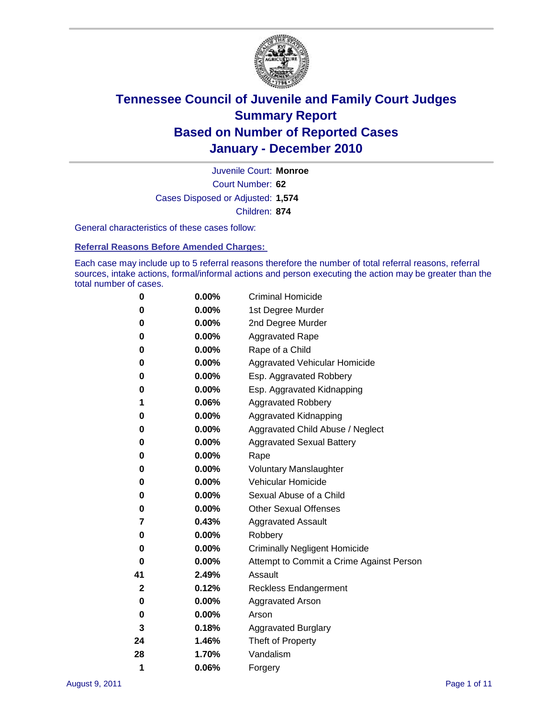

Court Number: **62** Juvenile Court: **Monroe** Cases Disposed or Adjusted: **1,574** Children: **874**

General characteristics of these cases follow:

**Referral Reasons Before Amended Charges:** 

Each case may include up to 5 referral reasons therefore the number of total referral reasons, referral sources, intake actions, formal/informal actions and person executing the action may be greater than the total number of cases.

| 0  | 0.00%    | <b>Criminal Homicide</b>                 |
|----|----------|------------------------------------------|
| 0  | 0.00%    | 1st Degree Murder                        |
| 0  | 0.00%    | 2nd Degree Murder                        |
| 0  | 0.00%    | <b>Aggravated Rape</b>                   |
| 0  | 0.00%    | Rape of a Child                          |
| 0  | 0.00%    | Aggravated Vehicular Homicide            |
| 0  | 0.00%    | Esp. Aggravated Robbery                  |
| 0  | 0.00%    | Esp. Aggravated Kidnapping               |
| 1  | 0.06%    | <b>Aggravated Robbery</b>                |
| 0  | 0.00%    | Aggravated Kidnapping                    |
| 0  | 0.00%    | Aggravated Child Abuse / Neglect         |
| 0  | $0.00\%$ | <b>Aggravated Sexual Battery</b>         |
| 0  | 0.00%    | Rape                                     |
| 0  | $0.00\%$ | <b>Voluntary Manslaughter</b>            |
| 0  | 0.00%    | Vehicular Homicide                       |
| 0  | 0.00%    | Sexual Abuse of a Child                  |
| 0  | 0.00%    | <b>Other Sexual Offenses</b>             |
| 7  | 0.43%    | <b>Aggravated Assault</b>                |
| 0  | $0.00\%$ | Robbery                                  |
| 0  | 0.00%    | <b>Criminally Negligent Homicide</b>     |
| 0  | 0.00%    | Attempt to Commit a Crime Against Person |
| 41 | 2.49%    | Assault                                  |
| 2  | 0.12%    | <b>Reckless Endangerment</b>             |
| 0  | 0.00%    | <b>Aggravated Arson</b>                  |
| 0  | 0.00%    | Arson                                    |
| 3  | 0.18%    | <b>Aggravated Burglary</b>               |
| 24 | 1.46%    | Theft of Property                        |
| 28 | 1.70%    | Vandalism                                |
| 1  | 0.06%    | Forgery                                  |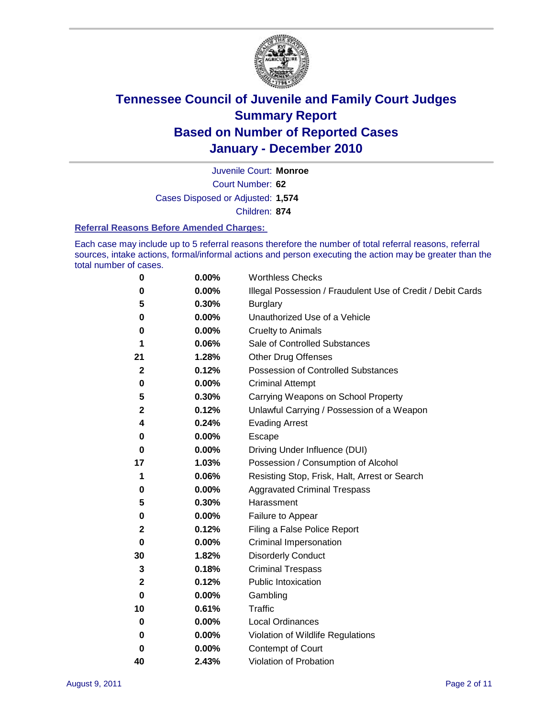

Court Number: **62** Juvenile Court: **Monroe** Cases Disposed or Adjusted: **1,574** Children: **874**

#### **Referral Reasons Before Amended Charges:**

Each case may include up to 5 referral reasons therefore the number of total referral reasons, referral sources, intake actions, formal/informal actions and person executing the action may be greater than the total number of cases.

| 0  | 0.00% | <b>Worthless Checks</b>                                     |
|----|-------|-------------------------------------------------------------|
| 0  | 0.00% | Illegal Possession / Fraudulent Use of Credit / Debit Cards |
| 5  | 0.30% | <b>Burglary</b>                                             |
| 0  | 0.00% | Unauthorized Use of a Vehicle                               |
| 0  | 0.00% | <b>Cruelty to Animals</b>                                   |
| 1  | 0.06% | Sale of Controlled Substances                               |
| 21 | 1.28% | <b>Other Drug Offenses</b>                                  |
| 2  | 0.12% | Possession of Controlled Substances                         |
| 0  | 0.00% | <b>Criminal Attempt</b>                                     |
| 5  | 0.30% | Carrying Weapons on School Property                         |
| 2  | 0.12% | Unlawful Carrying / Possession of a Weapon                  |
| 4  | 0.24% | <b>Evading Arrest</b>                                       |
| 0  | 0.00% | Escape                                                      |
| 0  | 0.00% | Driving Under Influence (DUI)                               |
| 17 | 1.03% | Possession / Consumption of Alcohol                         |
| 1  | 0.06% | Resisting Stop, Frisk, Halt, Arrest or Search               |
| 0  | 0.00% | <b>Aggravated Criminal Trespass</b>                         |
| 5  | 0.30% | Harassment                                                  |
| 0  | 0.00% | Failure to Appear                                           |
| 2  | 0.12% | Filing a False Police Report                                |
| 0  | 0.00% | Criminal Impersonation                                      |
| 30 | 1.82% | <b>Disorderly Conduct</b>                                   |
| 3  | 0.18% | <b>Criminal Trespass</b>                                    |
| 2  | 0.12% | <b>Public Intoxication</b>                                  |
| 0  | 0.00% | Gambling                                                    |
| 10 | 0.61% | Traffic                                                     |
| 0  | 0.00% | <b>Local Ordinances</b>                                     |
| 0  | 0.00% | Violation of Wildlife Regulations                           |
| 0  | 0.00% | Contempt of Court                                           |
| 40 | 2.43% | Violation of Probation                                      |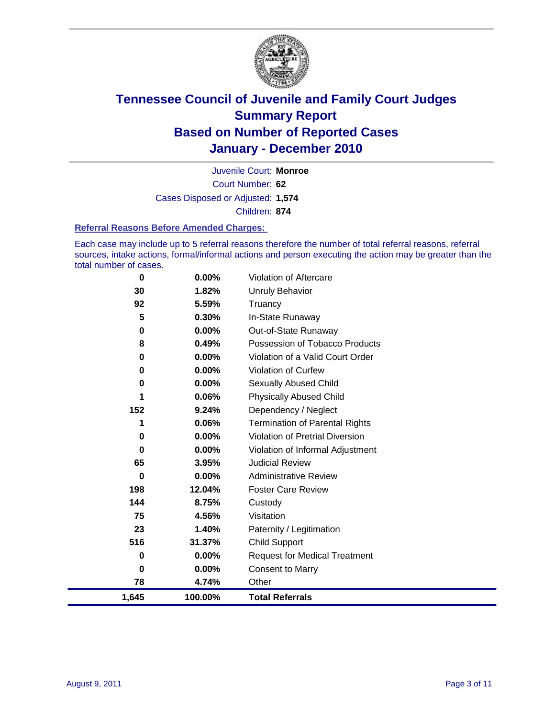

Court Number: **62** Juvenile Court: **Monroe** Cases Disposed or Adjusted: **1,574** Children: **874**

#### **Referral Reasons Before Amended Charges:**

Each case may include up to 5 referral reasons therefore the number of total referral reasons, referral sources, intake actions, formal/informal actions and person executing the action may be greater than the total number of cases.

| $\bf{0}$ | 0.00%    | Violation of Aftercare                 |
|----------|----------|----------------------------------------|
| 30       | 1.82%    | <b>Unruly Behavior</b>                 |
| 92       | 5.59%    | Truancy                                |
| 5        | 0.30%    | In-State Runaway                       |
| 0        | 0.00%    | Out-of-State Runaway                   |
| 8        | 0.49%    | Possession of Tobacco Products         |
| 0        | $0.00\%$ | Violation of a Valid Court Order       |
| 0        | $0.00\%$ | Violation of Curfew                    |
| 0        | $0.00\%$ | Sexually Abused Child                  |
| 1        | 0.06%    | <b>Physically Abused Child</b>         |
| 152      | 9.24%    | Dependency / Neglect                   |
| 1        | 0.06%    | <b>Termination of Parental Rights</b>  |
| 0        | 0.00%    | <b>Violation of Pretrial Diversion</b> |
| 0        | 0.00%    | Violation of Informal Adjustment       |
| 65       | 3.95%    | <b>Judicial Review</b>                 |
| 0        | $0.00\%$ | <b>Administrative Review</b>           |
| 198      | 12.04%   | <b>Foster Care Review</b>              |
| 144      | 8.75%    | Custody                                |
| 75       | 4.56%    | Visitation                             |
| 23       | 1.40%    | Paternity / Legitimation               |
| 516      | 31.37%   | <b>Child Support</b>                   |
| 0        | 0.00%    | <b>Request for Medical Treatment</b>   |
| 0        | 0.00%    | <b>Consent to Marry</b>                |
| 78       | 4.74%    | Other                                  |
| 1,645    | 100.00%  | <b>Total Referrals</b>                 |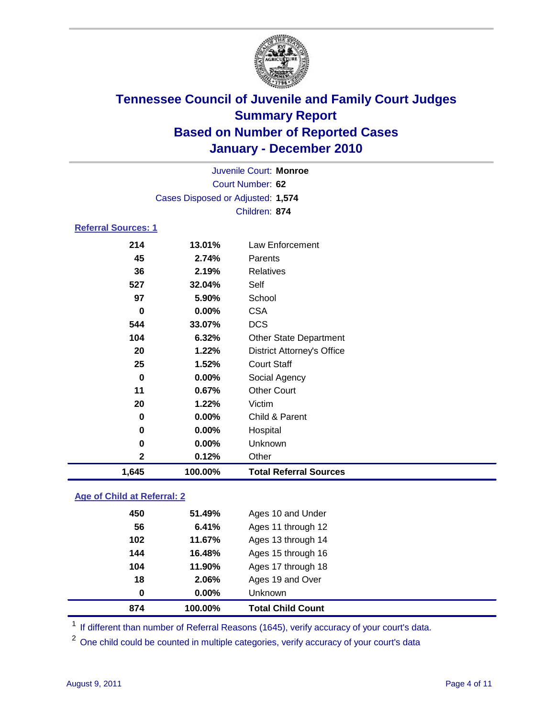

| Juvenile Court: Monroe     |                                   |                                   |  |  |  |
|----------------------------|-----------------------------------|-----------------------------------|--|--|--|
|                            | Court Number: 62                  |                                   |  |  |  |
|                            | Cases Disposed or Adjusted: 1,574 |                                   |  |  |  |
|                            |                                   | Children: 874                     |  |  |  |
| <b>Referral Sources: 1</b> |                                   |                                   |  |  |  |
| 214                        | 13.01%                            | Law Enforcement                   |  |  |  |
| 45                         | 2.74%                             | Parents                           |  |  |  |
| 36                         | 2.19%                             | <b>Relatives</b>                  |  |  |  |
| 527                        | 32.04%                            | Self                              |  |  |  |
| 97                         | 5.90%                             | School                            |  |  |  |
| 0                          | 0.00%                             | <b>CSA</b>                        |  |  |  |
| 544                        | 33.07%                            | <b>DCS</b>                        |  |  |  |
| 104                        | 6.32%                             | <b>Other State Department</b>     |  |  |  |
| 20                         | 1.22%                             | <b>District Attorney's Office</b> |  |  |  |
| 25                         | 1.52%                             | <b>Court Staff</b>                |  |  |  |
| $\bf{0}$                   | 0.00%                             | Social Agency                     |  |  |  |
| 11                         | 0.67%                             | <b>Other Court</b>                |  |  |  |
| 20                         | 1.22%                             | Victim                            |  |  |  |
| $\bf{0}$                   | 0.00%                             | Child & Parent                    |  |  |  |
| 0                          | 0.00%                             | Hospital                          |  |  |  |
| 0                          | 0.00%                             | Unknown                           |  |  |  |
| $\mathbf{2}$               | 0.12%                             | Other                             |  |  |  |
| 1,645                      | 100.00%                           | <b>Total Referral Sources</b>     |  |  |  |

### **Age of Child at Referral: 2**

| 18<br>$\bf{0}$ | 2.06%<br>0.00% | Ages 19 and Over<br><b>Unknown</b> |
|----------------|----------------|------------------------------------|
|                |                |                                    |
|                |                |                                    |
| 104            | 11.90%         | Ages 17 through 18                 |
| 144            | 16.48%         | Ages 15 through 16                 |
| 102            | 11.67%         | Ages 13 through 14                 |
| 56             | 6.41%          | Ages 11 through 12                 |
| 450            | 51.49%         | Ages 10 and Under                  |
|                |                |                                    |

<sup>1</sup> If different than number of Referral Reasons (1645), verify accuracy of your court's data.

<sup>2</sup> One child could be counted in multiple categories, verify accuracy of your court's data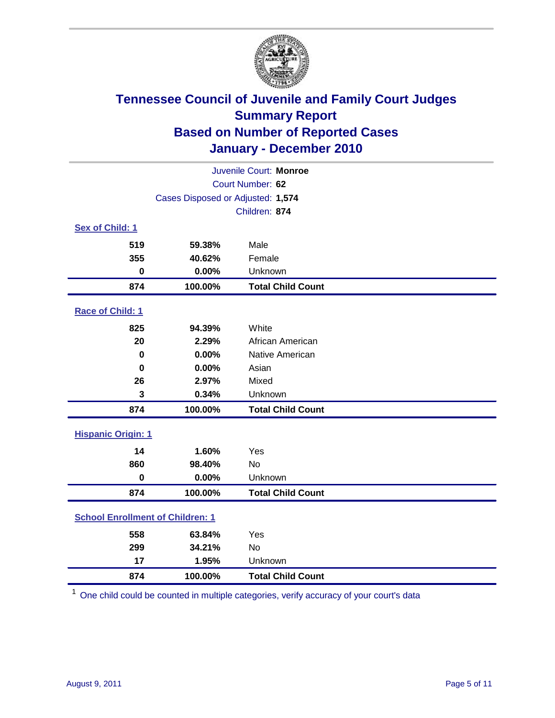

| Juvenile Court: Monroe                  |                                   |                          |  |  |  |
|-----------------------------------------|-----------------------------------|--------------------------|--|--|--|
|                                         | Court Number: 62                  |                          |  |  |  |
|                                         | Cases Disposed or Adjusted: 1,574 |                          |  |  |  |
|                                         | Children: 874                     |                          |  |  |  |
| Sex of Child: 1                         |                                   |                          |  |  |  |
| 519                                     | 59.38%                            | Male                     |  |  |  |
| 355                                     | 40.62%                            | Female                   |  |  |  |
| $\bf{0}$                                | 0.00%                             | Unknown                  |  |  |  |
| 874                                     | 100.00%                           | <b>Total Child Count</b> |  |  |  |
| Race of Child: 1                        |                                   |                          |  |  |  |
| 825                                     | 94.39%                            | White                    |  |  |  |
| 20                                      | 2.29%                             | African American         |  |  |  |
| 0                                       | 0.00%                             | Native American          |  |  |  |
| $\mathbf 0$                             | 0.00%                             | Asian                    |  |  |  |
| 26                                      | 2.97%                             | Mixed                    |  |  |  |
| 3                                       | 0.34%                             | Unknown                  |  |  |  |
| 874                                     | 100.00%                           | <b>Total Child Count</b> |  |  |  |
| <b>Hispanic Origin: 1</b>               |                                   |                          |  |  |  |
| 14                                      | 1.60%                             | Yes                      |  |  |  |
| 860                                     | 98.40%                            | <b>No</b>                |  |  |  |
| $\mathbf 0$                             | 0.00%                             | Unknown                  |  |  |  |
| 874                                     | 100.00%                           | <b>Total Child Count</b> |  |  |  |
| <b>School Enrollment of Children: 1</b> |                                   |                          |  |  |  |
| 558                                     | 63.84%                            | Yes                      |  |  |  |
| 299                                     | 34.21%                            | No                       |  |  |  |
| 17                                      | 1.95%                             | Unknown                  |  |  |  |
| 874                                     | 100.00%                           | <b>Total Child Count</b> |  |  |  |

One child could be counted in multiple categories, verify accuracy of your court's data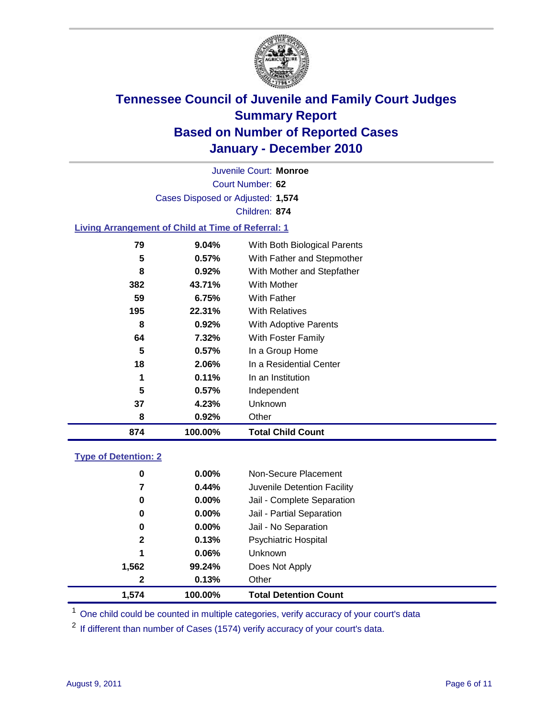

Court Number: **62** Juvenile Court: **Monroe** Cases Disposed or Adjusted: **1,574** Children: **874**

### **Living Arrangement of Child at Time of Referral: 1**

| 874 | 100.00% | <b>Total Child Count</b>     |
|-----|---------|------------------------------|
| 8   | 0.92%   | Other                        |
| 37  | 4.23%   | <b>Unknown</b>               |
| 5   | 0.57%   | Independent                  |
| 1   | 0.11%   | In an Institution            |
| 18  | 2.06%   | In a Residential Center      |
| 5   | 0.57%   | In a Group Home              |
| 64  | 7.32%   | With Foster Family           |
| 8   | 0.92%   | With Adoptive Parents        |
| 195 | 22.31%  | <b>With Relatives</b>        |
| 59  | 6.75%   | With Father                  |
| 382 | 43.71%  | With Mother                  |
| 8   | 0.92%   | With Mother and Stepfather   |
| 5   | 0.57%   | With Father and Stepmother   |
| 79  | 9.04%   | With Both Biological Parents |
|     |         |                              |

### **Type of Detention: 2**

| 1.574        | 100.00%  | <b>Total Detention Count</b> |
|--------------|----------|------------------------------|
| 2            | 0.13%    | Other                        |
| 1,562        | 99.24%   | Does Not Apply               |
| 1            | 0.06%    | <b>Unknown</b>               |
| $\mathbf{2}$ | 0.13%    | <b>Psychiatric Hospital</b>  |
| 0            | 0.00%    | Jail - No Separation         |
| 0            | $0.00\%$ | Jail - Partial Separation    |
| 0            | 0.00%    | Jail - Complete Separation   |
| 7            | 0.44%    | Juvenile Detention Facility  |
| 0            | $0.00\%$ | Non-Secure Placement         |
|              |          |                              |

<sup>1</sup> One child could be counted in multiple categories, verify accuracy of your court's data

<sup>2</sup> If different than number of Cases (1574) verify accuracy of your court's data.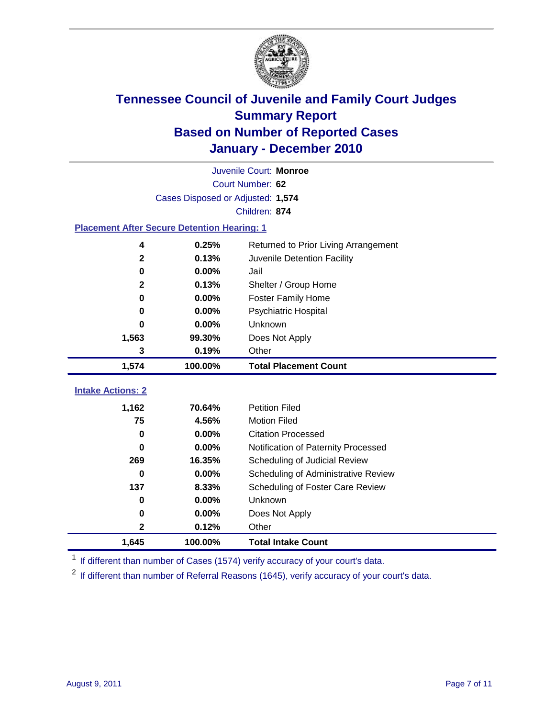

|                                                    | Juvenile Court: Monroe            |                                      |  |  |  |  |  |
|----------------------------------------------------|-----------------------------------|--------------------------------------|--|--|--|--|--|
|                                                    | Court Number: 62                  |                                      |  |  |  |  |  |
|                                                    | Cases Disposed or Adjusted: 1,574 |                                      |  |  |  |  |  |
| Children: 874                                      |                                   |                                      |  |  |  |  |  |
| <b>Placement After Secure Detention Hearing: 1</b> |                                   |                                      |  |  |  |  |  |
| 4                                                  | 0.25%                             | Returned to Prior Living Arrangement |  |  |  |  |  |
| $\mathbf{2}$                                       | 0.13%                             | Juvenile Detention Facility          |  |  |  |  |  |
| $\bf{0}$                                           | 0.00%                             | Jail                                 |  |  |  |  |  |
| $\mathbf{2}$                                       | 0.13%                             | Shelter / Group Home                 |  |  |  |  |  |
| 0                                                  | 0.00%                             | Foster Family Home                   |  |  |  |  |  |
| $\bf{0}$                                           | 0.00%                             | <b>Psychiatric Hospital</b>          |  |  |  |  |  |
| 0                                                  | 0.00%                             | Unknown                              |  |  |  |  |  |
| 1,563                                              | 99.30%                            | Does Not Apply                       |  |  |  |  |  |
| 3                                                  | 0.19%                             | Other                                |  |  |  |  |  |
| 1,574                                              | 100.00%                           | <b>Total Placement Count</b>         |  |  |  |  |  |
|                                                    |                                   |                                      |  |  |  |  |  |
| <b>Intake Actions: 2</b>                           |                                   |                                      |  |  |  |  |  |
| 1,162                                              | 70.64%                            | <b>Petition Filed</b>                |  |  |  |  |  |
| 75                                                 | 4.56%                             | <b>Motion Filed</b>                  |  |  |  |  |  |
| $\bf{0}$                                           | 0.00%                             | <b>Citation Processed</b>            |  |  |  |  |  |
| 0                                                  | 0.00%                             | Notification of Paternity Processed  |  |  |  |  |  |
| 269                                                | 16.35%                            | Scheduling of Judicial Review        |  |  |  |  |  |
| $\bf{0}$                                           | 0.00%                             | Scheduling of Administrative Review  |  |  |  |  |  |
| 137                                                | 8.33%                             | Scheduling of Foster Care Review     |  |  |  |  |  |
| 0                                                  | 0.00%                             | Unknown                              |  |  |  |  |  |
| $\bf{0}$                                           | 0.00%                             | Does Not Apply                       |  |  |  |  |  |
| $\mathbf 2$                                        | 0.12%                             | Other                                |  |  |  |  |  |
| 1,645                                              | 100.00%                           | <b>Total Intake Count</b>            |  |  |  |  |  |

<sup>1</sup> If different than number of Cases (1574) verify accuracy of your court's data.

<sup>2</sup> If different than number of Referral Reasons (1645), verify accuracy of your court's data.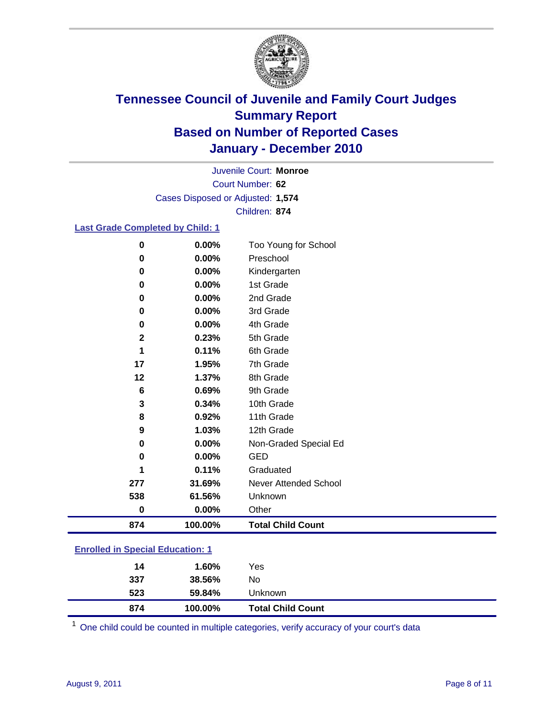

Court Number: **62** Juvenile Court: **Monroe** Cases Disposed or Adjusted: **1,574** Children: **874**

### **Last Grade Completed by Child: 1**

| $\bf{0}$     | 0.00%    | Too Young for School         |
|--------------|----------|------------------------------|
| 0            | $0.00\%$ | Preschool                    |
| 0            | 0.00%    | Kindergarten                 |
| 0            | 0.00%    | 1st Grade                    |
| 0            | $0.00\%$ | 2nd Grade                    |
| 0            | $0.00\%$ | 3rd Grade                    |
| 0            | 0.00%    | 4th Grade                    |
| $\mathbf{2}$ | 0.23%    | 5th Grade                    |
| 1            | 0.11%    | 6th Grade                    |
| 17           | 1.95%    | 7th Grade                    |
| 12           | 1.37%    | 8th Grade                    |
| 6            | 0.69%    | 9th Grade                    |
| 3            | 0.34%    | 10th Grade                   |
| 8            | 0.92%    | 11th Grade                   |
| 9            | 1.03%    | 12th Grade                   |
| 0            | 0.00%    | Non-Graded Special Ed        |
| 0            | 0.00%    | <b>GED</b>                   |
| 1            | 0.11%    | Graduated                    |
| 277          | 31.69%   | <b>Never Attended School</b> |
| 538          | 61.56%   | Unknown                      |
| $\bf{0}$     | 0.00%    | Other                        |
| 874          | 100.00%  | <b>Total Child Count</b>     |

### **Enrolled in Special Education: 1**

One child could be counted in multiple categories, verify accuracy of your court's data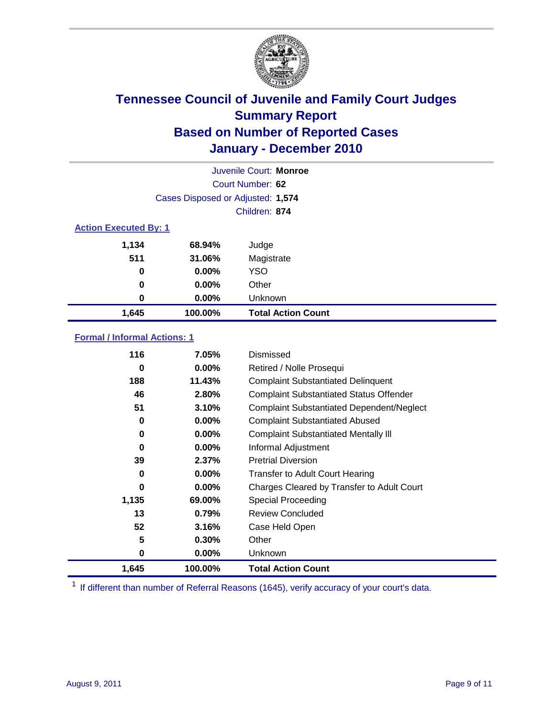

|                              | Juvenile Court: Monroe            |                           |  |  |  |
|------------------------------|-----------------------------------|---------------------------|--|--|--|
|                              | Court Number: 62                  |                           |  |  |  |
|                              | Cases Disposed or Adjusted: 1,574 |                           |  |  |  |
|                              | Children: 874                     |                           |  |  |  |
| <b>Action Executed By: 1</b> |                                   |                           |  |  |  |
| 1,134                        | 68.94%                            | Judge                     |  |  |  |
| 511                          | 31.06%                            | Magistrate                |  |  |  |
| 0                            | $0.00\%$                          | <b>YSO</b>                |  |  |  |
| $\bf{0}$                     | $0.00\%$                          | Other                     |  |  |  |
| 0                            | $0.00\%$                          | Unknown                   |  |  |  |
| 1,645                        | 100.00%                           | <b>Total Action Count</b> |  |  |  |

### **Formal / Informal Actions: 1**

| 116   | 7.05%    | Dismissed                                        |
|-------|----------|--------------------------------------------------|
| 0     | $0.00\%$ | Retired / Nolle Prosequi                         |
| 188   | 11.43%   | <b>Complaint Substantiated Delinquent</b>        |
| 46    | 2.80%    | <b>Complaint Substantiated Status Offender</b>   |
| 51    | 3.10%    | <b>Complaint Substantiated Dependent/Neglect</b> |
| 0     | $0.00\%$ | <b>Complaint Substantiated Abused</b>            |
| 0     | $0.00\%$ | <b>Complaint Substantiated Mentally III</b>      |
| 0     | $0.00\%$ | Informal Adjustment                              |
| 39    | 2.37%    | <b>Pretrial Diversion</b>                        |
| 0     | $0.00\%$ | <b>Transfer to Adult Court Hearing</b>           |
| 0     | $0.00\%$ | Charges Cleared by Transfer to Adult Court       |
| 1,135 | 69.00%   | <b>Special Proceeding</b>                        |
| 13    | 0.79%    | <b>Review Concluded</b>                          |
| 52    | 3.16%    | Case Held Open                                   |
| 5     | 0.30%    | Other                                            |
| 0     | $0.00\%$ | <b>Unknown</b>                                   |
| 1,645 | 100.00%  | <b>Total Action Count</b>                        |

<sup>1</sup> If different than number of Referral Reasons (1645), verify accuracy of your court's data.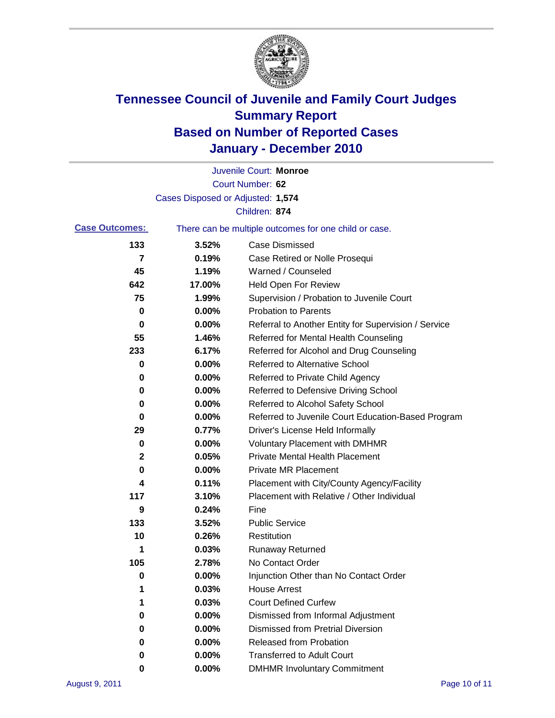

|                       |                                   | Juvenile Court: Monroe                                |
|-----------------------|-----------------------------------|-------------------------------------------------------|
|                       |                                   | Court Number: 62                                      |
|                       | Cases Disposed or Adjusted: 1,574 |                                                       |
|                       |                                   | Children: 874                                         |
| <b>Case Outcomes:</b> |                                   | There can be multiple outcomes for one child or case. |
| 133                   | 3.52%                             | <b>Case Dismissed</b>                                 |
| 7                     | 0.19%                             | Case Retired or Nolle Prosequi                        |
| 45                    | 1.19%                             | Warned / Counseled                                    |
| 642                   | 17.00%                            | Held Open For Review                                  |
| 75                    | 1.99%                             | Supervision / Probation to Juvenile Court             |
| 0                     | 0.00%                             | <b>Probation to Parents</b>                           |
| 0                     | 0.00%                             | Referral to Another Entity for Supervision / Service  |
| 55                    | 1.46%                             | Referred for Mental Health Counseling                 |
| 233                   | 6.17%                             | Referred for Alcohol and Drug Counseling              |
| 0                     | 0.00%                             | <b>Referred to Alternative School</b>                 |
| 0                     | 0.00%                             | Referred to Private Child Agency                      |
| 0                     | 0.00%                             | Referred to Defensive Driving School                  |
| 0                     | 0.00%                             | Referred to Alcohol Safety School                     |
| 0                     | 0.00%                             | Referred to Juvenile Court Education-Based Program    |
| 29                    | 0.77%                             | Driver's License Held Informally                      |
| 0                     | 0.00%                             | <b>Voluntary Placement with DMHMR</b>                 |
| 2                     | 0.05%                             | <b>Private Mental Health Placement</b>                |
| 0                     | 0.00%                             | <b>Private MR Placement</b>                           |
| 4                     | 0.11%                             | Placement with City/County Agency/Facility            |
| 117                   | 3.10%                             | Placement with Relative / Other Individual            |
| 9                     | 0.24%                             | Fine                                                  |
| 133                   | 3.52%                             | <b>Public Service</b>                                 |
| 10                    | 0.26%                             | Restitution                                           |
| 1                     | 0.03%                             | <b>Runaway Returned</b>                               |
| 105                   | 2.78%                             | No Contact Order                                      |
| 0                     | 0.00%                             | Injunction Other than No Contact Order                |
|                       | 0.03%                             | <b>House Arrest</b>                                   |
|                       | 0.03%                             | <b>Court Defined Curfew</b>                           |
| 0                     | 0.00%                             | Dismissed from Informal Adjustment                    |
| 0                     | 0.00%                             | <b>Dismissed from Pretrial Diversion</b>              |
| 0                     | 0.00%                             | Released from Probation                               |
| 0                     | 0.00%                             | <b>Transferred to Adult Court</b>                     |
| 0                     | $0.00\%$                          | <b>DMHMR Involuntary Commitment</b>                   |